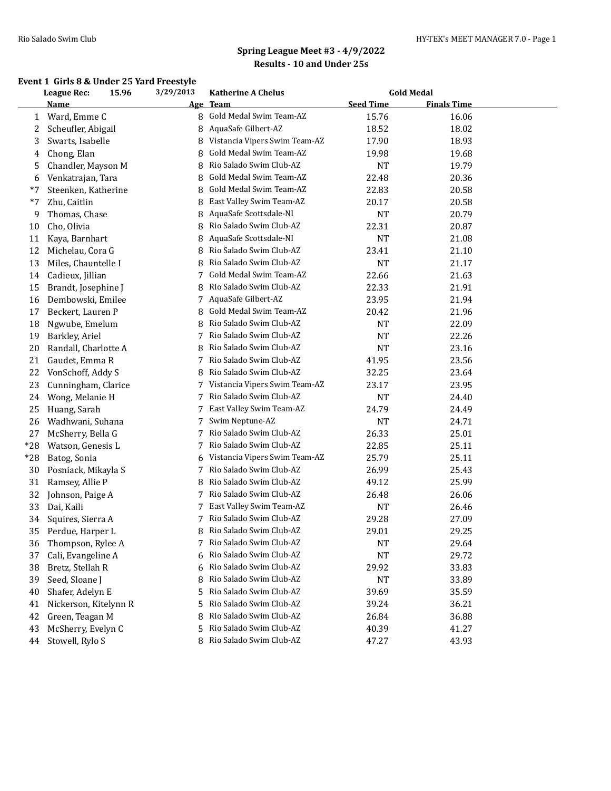### **Event 1 Girls 8 & Under 25 Yard Freestyle**

|       | <b>League Rec:</b><br>15.96 |  | 3/29/2013  | <b>Katherine A Chelus</b>     | <b>Gold Medal</b> |                    |  |
|-------|-----------------------------|--|------------|-------------------------------|-------------------|--------------------|--|
|       | Name                        |  | <u>Age</u> | <b>Team</b>                   | <b>Seed Time</b>  | <b>Finals Time</b> |  |
| 1     | Ward, Emme C                |  | 8          | Gold Medal Swim Team-AZ       | 15.76             | 16.06              |  |
| 2     | Scheufler, Abigail          |  | 8          | AquaSafe Gilbert-AZ           | 18.52             | 18.02              |  |
| 3     | Swarts, Isabelle            |  | 8          | Vistancia Vipers Swim Team-AZ | 17.90             | 18.93              |  |
| 4     | Chong, Elan                 |  | 8          | Gold Medal Swim Team-AZ       | 19.98             | 19.68              |  |
| 5     | Chandler, Mayson M          |  | 8          | Rio Salado Swim Club-AZ       | NT                | 19.79              |  |
| 6     | Venkatrajan, Tara           |  | 8          | Gold Medal Swim Team-AZ       | 22.48             | 20.36              |  |
| $*7$  | Steenken, Katherine         |  | 8          | Gold Medal Swim Team-AZ       | 22.83             | 20.58              |  |
| $*7$  | Zhu, Caitlin                |  | 8          | East Valley Swim Team-AZ      | 20.17             | 20.58              |  |
| 9     | Thomas, Chase               |  | 8          | AquaSafe Scottsdale-NI        | <b>NT</b>         | 20.79              |  |
| 10    | Cho, Olivia                 |  | 8          | Rio Salado Swim Club-AZ       | 22.31             | 20.87              |  |
| 11    | Kaya, Barnhart              |  | 8          | AquaSafe Scottsdale-NI        | <b>NT</b>         | 21.08              |  |
| 12    | Michelau, Cora G            |  | 8          | Rio Salado Swim Club-AZ       | 23.41             | 21.10              |  |
| 13    | Miles, Chauntelle I         |  | 8          | Rio Salado Swim Club-AZ       | <b>NT</b>         | 21.17              |  |
| 14    | Cadieux, Jillian            |  | 7          | Gold Medal Swim Team-AZ       | 22.66             | 21.63              |  |
| 15    | Brandt, Josephine J         |  | 8          | Rio Salado Swim Club-AZ       | 22.33             | 21.91              |  |
| 16    | Dembowski, Emilee           |  | 7          | AquaSafe Gilbert-AZ           | 23.95             | 21.94              |  |
| 17    | Beckert, Lauren P           |  | 8          | Gold Medal Swim Team-AZ       | 20.42             | 21.96              |  |
| 18    | Ngwube, Emelum              |  |            | Rio Salado Swim Club-AZ       | <b>NT</b>         | 22.09              |  |
| 19    | Barkley, Ariel              |  | 7          | Rio Salado Swim Club-AZ       | <b>NT</b>         | 22.26              |  |
| 20    | Randall, Charlotte A        |  | 8          | Rio Salado Swim Club-AZ       | NT                | 23.16              |  |
| 21    | Gaudet, Emma R              |  | 7          | Rio Salado Swim Club-AZ       | 41.95             | 23.56              |  |
| 22    | VonSchoff, Addy S           |  | 8          | Rio Salado Swim Club-AZ       | 32.25             | 23.64              |  |
| 23    | Cunningham, Clarice         |  | 7          | Vistancia Vipers Swim Team-AZ | 23.17             | 23.95              |  |
| 24    | Wong, Melanie H             |  | 7          | Rio Salado Swim Club-AZ       | <b>NT</b>         | 24.40              |  |
| 25    | Huang, Sarah                |  | 7          | East Valley Swim Team-AZ      | 24.79             | 24.49              |  |
| 26    | Wadhwani, Suhana            |  | 7          | Swim Neptune-AZ               | <b>NT</b>         | 24.71              |  |
| 27    | McSherry, Bella G           |  | 7          | Rio Salado Swim Club-AZ       | 26.33             | 25.01              |  |
| $*28$ | Watson, Genesis L           |  | 7          | Rio Salado Swim Club-AZ       | 22.85             | 25.11              |  |
| *28   | Batog, Sonia                |  | 6          | Vistancia Vipers Swim Team-AZ | 25.79             | 25.11              |  |
| 30    | Posniack, Mikayla S         |  | 7          | Rio Salado Swim Club-AZ       | 26.99             | 25.43              |  |
| 31    | Ramsey, Allie P             |  | 8          | Rio Salado Swim Club-AZ       | 49.12             | 25.99              |  |
| 32    | Johnson, Paige A            |  | 7          | Rio Salado Swim Club-AZ       | 26.48             | 26.06              |  |
| 33    | Dai, Kaili                  |  | 7          | East Valley Swim Team-AZ      | NT                | 26.46              |  |
| 34    | Squires, Sierra A           |  | 7          | Rio Salado Swim Club-AZ       | 29.28             | 27.09              |  |
| 35    | Perdue, Harper L            |  | 8          | Rio Salado Swim Club-AZ       | 29.01             | 29.25              |  |
| 36    | Thompson, Rylee A           |  | 7          | Rio Salado Swim Club-AZ       | NT                | 29.64              |  |
| 37    | Cali, Evangeline A          |  | 6          | Rio Salado Swim Club-AZ       | NT                | 29.72              |  |
| 38    | Bretz, Stellah R            |  | 6          | Rio Salado Swim Club-AZ       | 29.92             | 33.83              |  |
| 39    | Seed, Sloane J              |  | 8          | Rio Salado Swim Club-AZ       | NT                | 33.89              |  |
| 40    | Shafer, Adelyn E            |  | 5          | Rio Salado Swim Club-AZ       | 39.69             | 35.59              |  |
| 41    | Nickerson, Kitelynn R       |  | 5          | Rio Salado Swim Club-AZ       | 39.24             | 36.21              |  |
| 42    | Green, Teagan M             |  | 8          | Rio Salado Swim Club-AZ       | 26.84             | 36.88              |  |
| 43    | McSherry, Evelyn C          |  | 5          | Rio Salado Swim Club-AZ       | 40.39             | 41.27              |  |
| 44    | Stowell, Rylo S             |  |            | Rio Salado Swim Club-AZ       | 47.27             | 43.93              |  |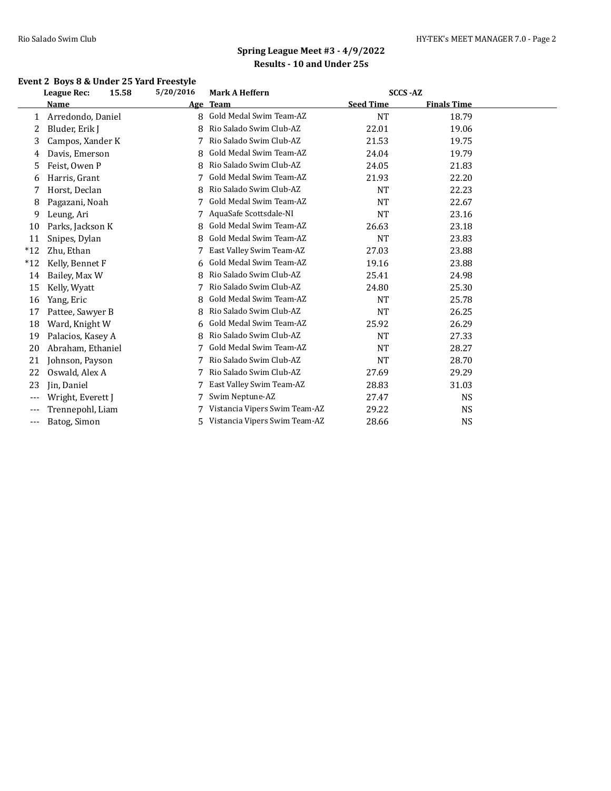### **Event 2 Boys 8 & Under 25 Yard Freestyle**

|       | League Rec:       | 15.58<br>5/20/2016 | <b>Mark A Heffern</b>         | <b>SCCS-AZ</b>   |                    |  |
|-------|-------------------|--------------------|-------------------------------|------------------|--------------------|--|
|       | Name              |                    | Age Team                      | <b>Seed Time</b> | <b>Finals Time</b> |  |
| 1     | Arredondo, Daniel | 8                  | Gold Medal Swim Team-AZ       | <b>NT</b>        | 18.79              |  |
| 2     | Bluder, Erik J    | 8                  | Rio Salado Swim Club-AZ       | 22.01            | 19.06              |  |
| 3     | Campos, Xander K  | 7                  | Rio Salado Swim Club-AZ       | 21.53            | 19.75              |  |
| 4     | Davis, Emerson    | 8                  | Gold Medal Swim Team-AZ       | 24.04            | 19.79              |  |
| 5     | Feist, Owen P     | 8                  | Rio Salado Swim Club-AZ       | 24.05            | 21.83              |  |
| 6     | Harris, Grant     |                    | Gold Medal Swim Team-AZ       | 21.93            | 22.20              |  |
| 7     | Horst, Declan     | 8                  | Rio Salado Swim Club-AZ       | <b>NT</b>        | 22.23              |  |
| 8     | Pagazani, Noah    |                    | Gold Medal Swim Team-AZ       | <b>NT</b>        | 22.67              |  |
| 9     | Leung, Ari        |                    | AquaSafe Scottsdale-NI        | <b>NT</b>        | 23.16              |  |
| 10    | Parks, Jackson K  | 8                  | Gold Medal Swim Team-AZ       | 26.63            | 23.18              |  |
| 11    | Snipes, Dylan     | 8                  | Gold Medal Swim Team-AZ       | <b>NT</b>        | 23.83              |  |
| $*12$ | Zhu, Ethan        |                    | East Valley Swim Team-AZ      | 27.03            | 23.88              |  |
| $*12$ | Kelly, Bennet F   | 6                  | Gold Medal Swim Team-AZ       | 19.16            | 23.88              |  |
| 14    | Bailey, Max W     | 8                  | Rio Salado Swim Club-AZ       | 25.41            | 24.98              |  |
| 15    | Kelly, Wyatt      | 7                  | Rio Salado Swim Club-AZ       | 24.80            | 25.30              |  |
| 16    | Yang, Eric        | 8                  | Gold Medal Swim Team-AZ       | <b>NT</b>        | 25.78              |  |
| 17    | Pattee, Sawyer B  | 8                  | Rio Salado Swim Club-AZ       | <b>NT</b>        | 26.25              |  |
| 18    | Ward, Knight W    |                    | Gold Medal Swim Team-AZ       | 25.92            | 26.29              |  |
| 19    | Palacios, Kasey A | 8                  | Rio Salado Swim Club-AZ       | <b>NT</b>        | 27.33              |  |
| 20    | Abraham, Ethaniel |                    | Gold Medal Swim Team-AZ       | <b>NT</b>        | 28.27              |  |
| 21    | Johnson, Payson   | 7                  | Rio Salado Swim Club-AZ       | <b>NT</b>        | 28.70              |  |
| 22    | Oswald, Alex A    |                    | Rio Salado Swim Club-AZ       | 27.69            | 29.29              |  |
| 23    | Jin, Daniel       | 7                  | East Valley Swim Team-AZ      | 28.83            | 31.03              |  |
| $---$ | Wright, Everett J |                    | Swim Neptune-AZ               | 27.47            | <b>NS</b>          |  |
| $---$ | Trennepohl, Liam  |                    | Vistancia Vipers Swim Team-AZ | 29.22            | NS                 |  |
| $---$ | Batog, Simon      | 5.                 | Vistancia Vipers Swim Team-AZ | 28.66            | <b>NS</b>          |  |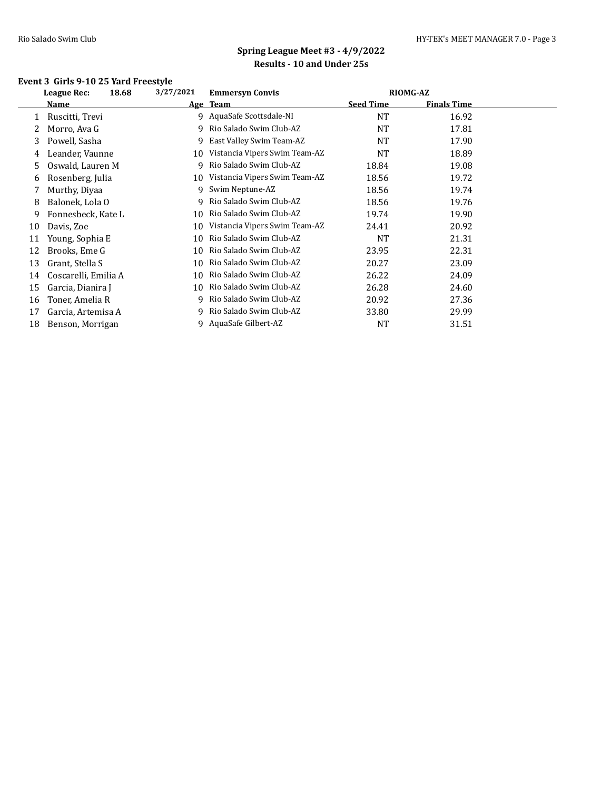### **Event 3 Girls 9-10 25 Yard Freestyle**

|    | <b>League Rec:</b><br>18.68 | 3/27/2021 | <b>Emmersyn Convis</b>        | <b>RIOMG-AZ</b>  |                    |  |
|----|-----------------------------|-----------|-------------------------------|------------------|--------------------|--|
|    | Name                        |           | Age Team                      | <b>Seed Time</b> | <b>Finals Time</b> |  |
|    | Ruscitti, Trevi             |           | 9 AquaSafe Scottsdale-NI      | <b>NT</b>        | 16.92              |  |
| 2  | Morro, Ava G                | 9         | Rio Salado Swim Club-AZ       | <b>NT</b>        | 17.81              |  |
| 3  | Powell, Sasha               | 9         | East Valley Swim Team-AZ      | <b>NT</b>        | 17.90              |  |
| 4  | Leander, Vaunne             | 10        | Vistancia Vipers Swim Team-AZ | <b>NT</b>        | 18.89              |  |
| 5  | Oswald, Lauren M            | q         | Rio Salado Swim Club-AZ       | 18.84            | 19.08              |  |
| 6  | Rosenberg, Julia            | 10        | Vistancia Vipers Swim Team-AZ | 18.56            | 19.72              |  |
|    | Murthy, Diyaa               | 9         | Swim Neptune-AZ               | 18.56            | 19.74              |  |
| 8  | Balonek, Lola O             | 9         | Rio Salado Swim Club-AZ       | 18.56            | 19.76              |  |
| 9  | Fonnesbeck, Kate L          | 10        | Rio Salado Swim Club-AZ       | 19.74            | 19.90              |  |
| 10 | Davis, Zoe                  | 10        | Vistancia Vipers Swim Team-AZ | 24.41            | 20.92              |  |
| 11 | Young, Sophia E             | 10        | Rio Salado Swim Club-AZ       | <b>NT</b>        | 21.31              |  |
| 12 | Brooks, Eme G               | 10        | Rio Salado Swim Club-AZ       | 23.95            | 22.31              |  |
| 13 | Grant, Stella S             | 10        | Rio Salado Swim Club-AZ       | 20.27            | 23.09              |  |
| 14 | Coscarelli, Emilia A        | 10        | Rio Salado Swim Club-AZ       | 26.22            | 24.09              |  |
| 15 | Garcia, Dianira J           | 10        | Rio Salado Swim Club-AZ       | 26.28            | 24.60              |  |
| 16 | Toner, Amelia R             | 9         | Rio Salado Swim Club-AZ       | 20.92            | 27.36              |  |
| 17 | Garcia, Artemisa A          | 9.        | Rio Salado Swim Club-AZ       | 33.80            | 29.99              |  |
| 18 | Benson, Morrigan            | 9         | AquaSafe Gilbert-AZ           | NT               | 31.51              |  |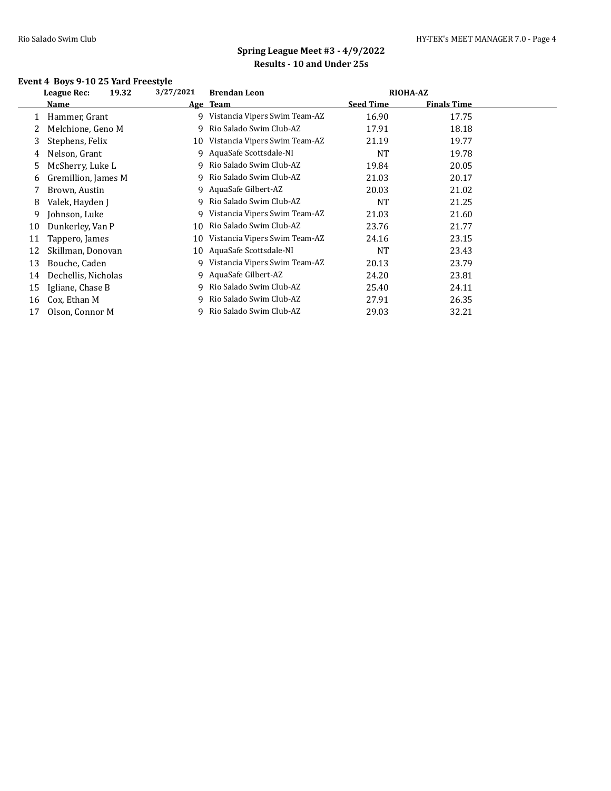### **Event 4 Boys 9-10 25 Yard Freestyle**

| 19.32<br>League Rec: | 3/27/2021 | <b>Brendan Leon</b>           |                  |                    |                 |
|----------------------|-----------|-------------------------------|------------------|--------------------|-----------------|
| Name                 |           |                               | <b>Seed Time</b> | <b>Finals Time</b> |                 |
| Hammer, Grant        | 9         | Vistancia Vipers Swim Team-AZ | 16.90            | 17.75              |                 |
| Melchione, Geno M    | 9         | Rio Salado Swim Club-AZ       | 17.91            | 18.18              |                 |
| Stephens, Felix      | 10        | Vistancia Vipers Swim Team-AZ | 21.19            | 19.77              |                 |
| Nelson, Grant        | 9         | AquaSafe Scottsdale-NI        | NT               | 19.78              |                 |
| McSherry, Luke L     | 9.        | Rio Salado Swim Club-AZ       | 19.84            | 20.05              |                 |
| Gremillion, James M  | 9.        | Rio Salado Swim Club-AZ       | 21.03            | 20.17              |                 |
| Brown, Austin        |           | AquaSafe Gilbert-AZ           | 20.03            | 21.02              |                 |
| Valek, Hayden J      | 9.        | Rio Salado Swim Club-AZ       | <b>NT</b>        | 21.25              |                 |
| Johnson, Luke        |           | Vistancia Vipers Swim Team-AZ | 21.03            | 21.60              |                 |
| Dunkerley, Van P     | 10        | Rio Salado Swim Club-AZ       | 23.76            | 21.77              |                 |
| Tappero, James       | 10        | Vistancia Vipers Swim Team-AZ | 24.16            | 23.15              |                 |
| Skillman, Donovan    | 10        | AquaSafe Scottsdale-NI        | <b>NT</b>        | 23.43              |                 |
| Bouche, Caden        | 9.        | Vistancia Vipers Swim Team-AZ | 20.13            | 23.79              |                 |
| Dechellis, Nicholas  | 9         | AquaSafe Gilbert-AZ           | 24.20            | 23.81              |                 |
| Igliane, Chase B     | 9         | Rio Salado Swim Club-AZ       | 25.40            | 24.11              |                 |
| Cox, Ethan M         |           | Rio Salado Swim Club-AZ       | 27.91            | 26.35              |                 |
| Olson, Connor M      |           | Rio Salado Swim Club-AZ       | 29.03            | 32.21              |                 |
|                      |           | 9                             | Age Team         |                    | <b>RIOHA-AZ</b> |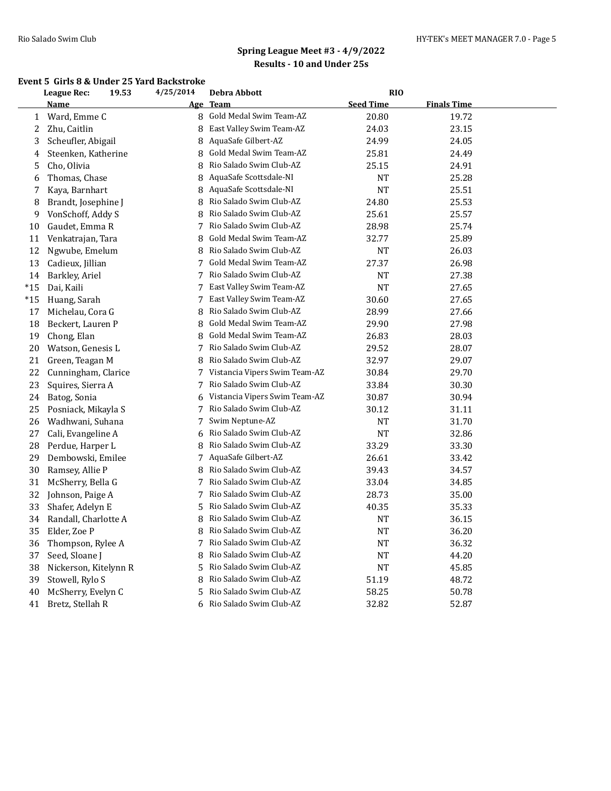#### **Event 5 Girls 8 & Under 25 Yard Backstroke**

|       | <b>League Rec:</b>    | 19.53 | 4/25/2014 | Debra Abbott                  | <b>RIO</b>       |                    |  |
|-------|-----------------------|-------|-----------|-------------------------------|------------------|--------------------|--|
|       | <u>Name</u>           |       |           | Age Team                      | <b>Seed Time</b> | <b>Finals Time</b> |  |
| 1     | Ward, Emme C          |       | 8         | Gold Medal Swim Team-AZ       | 20.80            | 19.72              |  |
| 2     | Zhu, Caitlin          |       | 8         | East Valley Swim Team-AZ      | 24.03            | 23.15              |  |
| 3     | Scheufler, Abigail    |       |           | 8 AquaSafe Gilbert-AZ         | 24.99            | 24.05              |  |
| 4     | Steenken, Katherine   |       | 8         | Gold Medal Swim Team-AZ       | 25.81            | 24.49              |  |
| 5     | Cho, Olivia           |       | 8         | Rio Salado Swim Club-AZ       | 25.15            | 24.91              |  |
| 6     | Thomas, Chase         |       | 8         | AquaSafe Scottsdale-NI        | <b>NT</b>        | 25.28              |  |
| 7     | Kaya, Barnhart        |       | 8         | AquaSafe Scottsdale-NI        | NT               | 25.51              |  |
| 8     | Brandt, Josephine J   |       | 8         | Rio Salado Swim Club-AZ       | 24.80            | 25.53              |  |
| 9     | VonSchoff, Addy S     |       | 8         | Rio Salado Swim Club-AZ       | 25.61            | 25.57              |  |
| 10    | Gaudet, Emma R        |       | 7         | Rio Salado Swim Club-AZ       | 28.98            | 25.74              |  |
| 11    | Venkatrajan, Tara     |       | 8         | Gold Medal Swim Team-AZ       | 32.77            | 25.89              |  |
| 12    | Ngwube, Emelum        |       | 8         | Rio Salado Swim Club-AZ       | NT               | 26.03              |  |
| 13    | Cadieux, Jillian      |       | 7         | Gold Medal Swim Team-AZ       | 27.37            | 26.98              |  |
| 14    | Barkley, Ariel        |       | 7         | Rio Salado Swim Club-AZ       | NT               | 27.38              |  |
| $*15$ | Dai, Kaili            |       |           | 7 East Valley Swim Team-AZ    | NT               | 27.65              |  |
| $*15$ | Huang, Sarah          |       | 7         | East Valley Swim Team-AZ      | 30.60            | 27.65              |  |
| 17    | Michelau, Cora G      |       | 8         | Rio Salado Swim Club-AZ       | 28.99            | 27.66              |  |
| 18    | Beckert, Lauren P     |       | 8         | Gold Medal Swim Team-AZ       | 29.90            | 27.98              |  |
| 19    | Chong, Elan           |       | 8         | Gold Medal Swim Team-AZ       | 26.83            | 28.03              |  |
| 20    | Watson, Genesis L     |       | 7         | Rio Salado Swim Club-AZ       | 29.52            | 28.07              |  |
| 21    | Green, Teagan M       |       | 8         | Rio Salado Swim Club-AZ       | 32.97            | 29.07              |  |
| 22    | Cunningham, Clarice   |       | 7         | Vistancia Vipers Swim Team-AZ | 30.84            | 29.70              |  |
| 23    | Squires, Sierra A     |       | 7         | Rio Salado Swim Club-AZ       | 33.84            | 30.30              |  |
| 24    | Batog, Sonia          |       | 6         | Vistancia Vipers Swim Team-AZ | 30.87            | 30.94              |  |
| 25    | Posniack, Mikayla S   |       | 7         | Rio Salado Swim Club-AZ       | 30.12            | 31.11              |  |
| 26    | Wadhwani, Suhana      |       | 7         | Swim Neptune-AZ               | <b>NT</b>        | 31.70              |  |
| 27    | Cali, Evangeline A    |       |           | 6 Rio Salado Swim Club-AZ     | NT               | 32.86              |  |
| 28    | Perdue, Harper L      |       | 8         | Rio Salado Swim Club-AZ       | 33.29            | 33.30              |  |
| 29    | Dembowski, Emilee     |       | 7         | AquaSafe Gilbert-AZ           | 26.61            | 33.42              |  |
| 30    | Ramsey, Allie P       |       | 8         | Rio Salado Swim Club-AZ       | 39.43            | 34.57              |  |
| 31    | McSherry, Bella G     |       | 7         | Rio Salado Swim Club-AZ       | 33.04            | 34.85              |  |
| 32    | Johnson, Paige A      |       | 7         | Rio Salado Swim Club-AZ       | 28.73            | 35.00              |  |
| 33    | Shafer, Adelyn E      |       | 5         | Rio Salado Swim Club-AZ       | 40.35            | 35.33              |  |
| 34    | Randall, Charlotte A  |       | 8         | Rio Salado Swim Club-AZ       | NT               | 36.15              |  |
| 35    | Elder, Zoe P          |       | 8         | Rio Salado Swim Club-AZ       | NT               | 36.20              |  |
| 36    | Thompson, Rylee A     |       | 7         | Rio Salado Swim Club-AZ       | NT               | 36.32              |  |
| 37    | Seed, Sloane J        |       | 8         | Rio Salado Swim Club-AZ       | NT               | 44.20              |  |
| 38    | Nickerson, Kitelynn R |       | 5         | Rio Salado Swim Club-AZ       | NT               | 45.85              |  |
| 39    | Stowell, Rylo S       |       | 8         | Rio Salado Swim Club-AZ       | 51.19            | 48.72              |  |
| 40    | McSherry, Evelyn C    |       | 5         | Rio Salado Swim Club-AZ       | 58.25            | 50.78              |  |
| 41    | Bretz, Stellah R      |       | 6         | Rio Salado Swim Club-AZ       | 32.82            | 52.87              |  |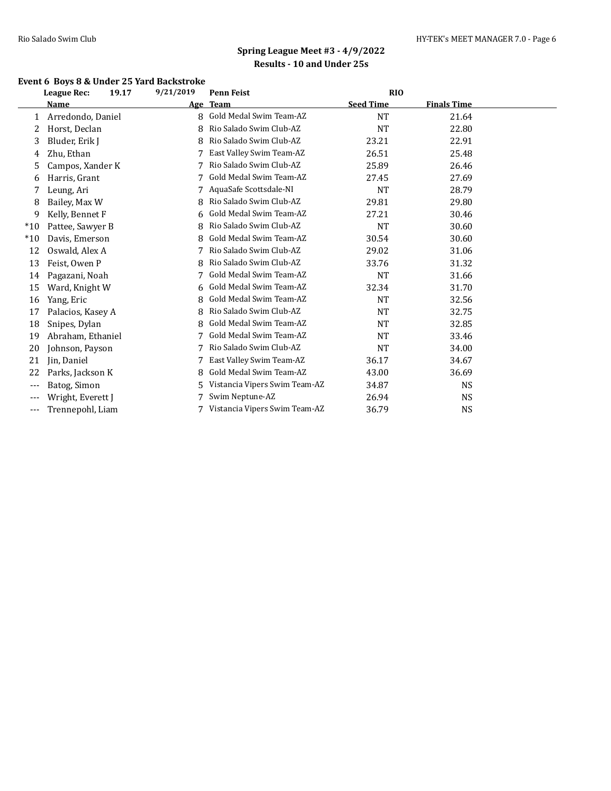### **Event 6 Boys 8 & Under 25 Yard Backstroke**

|       | <b>League Rec:</b><br>19.17 | 9/21/2019 | <b>Penn Feist</b>             | <b>RIO</b>       |                    |  |
|-------|-----------------------------|-----------|-------------------------------|------------------|--------------------|--|
|       | Name                        | Age       | <b>Team</b>                   | <b>Seed Time</b> | <b>Finals Time</b> |  |
| 1     | Arredondo, Daniel           | 8         | Gold Medal Swim Team-AZ       | <b>NT</b>        | 21.64              |  |
| 2     | Horst, Declan               | 8         | Rio Salado Swim Club-AZ       | <b>NT</b>        | 22.80              |  |
| 3     | Bluder, Erik J              | 8         | Rio Salado Swim Club-AZ       | 23.21            | 22.91              |  |
| 4     | Zhu, Ethan                  |           | East Valley Swim Team-AZ      | 26.51            | 25.48              |  |
| 5     | Campos, Xander K            | 7         | Rio Salado Swim Club-AZ       | 25.89            | 26.46              |  |
| 6     | Harris, Grant               | 7         | Gold Medal Swim Team-AZ       | 27.45            | 27.69              |  |
| 7     | Leung, Ari                  |           | AquaSafe Scottsdale-NI        | <b>NT</b>        | 28.79              |  |
| 8     | Bailey, Max W               | 8         | Rio Salado Swim Club-AZ       | 29.81            | 29.80              |  |
| 9     | Kelly, Bennet F             | 6         | Gold Medal Swim Team-AZ       | 27.21            | 30.46              |  |
| $*10$ | Pattee, Sawyer B            | 8         | Rio Salado Swim Club-AZ       | <b>NT</b>        | 30.60              |  |
| $*10$ | Davis, Emerson              | 8         | Gold Medal Swim Team-AZ       | 30.54            | 30.60              |  |
| 12    | Oswald, Alex A              |           | Rio Salado Swim Club-AZ       | 29.02            | 31.06              |  |
| 13    | Feist, Owen P               | 8         | Rio Salado Swim Club-AZ       | 33.76            | 31.32              |  |
| 14    | Pagazani, Noah              |           | Gold Medal Swim Team-AZ       | <b>NT</b>        | 31.66              |  |
| 15    | Ward, Knight W              | 6         | Gold Medal Swim Team-AZ       | 32.34            | 31.70              |  |
| 16    | Yang, Eric                  | 8         | Gold Medal Swim Team-AZ       | <b>NT</b>        | 32.56              |  |
| 17    | Palacios, Kasey A           | 8         | Rio Salado Swim Club-AZ       | <b>NT</b>        | 32.75              |  |
| 18    | Snipes, Dylan               | 8         | Gold Medal Swim Team-AZ       | <b>NT</b>        | 32.85              |  |
| 19    | Abraham, Ethaniel           |           | Gold Medal Swim Team-AZ       | <b>NT</b>        | 33.46              |  |
| 20    | Johnson, Payson             | 7         | Rio Salado Swim Club-AZ       | <b>NT</b>        | 34.00              |  |
| 21    | Jin, Daniel                 | 7         | East Valley Swim Team-AZ      | 36.17            | 34.67              |  |
| 22    | Parks, Jackson K            | 8         | Gold Medal Swim Team-AZ       | 43.00            | 36.69              |  |
| $---$ | Batog, Simon                | 5.        | Vistancia Vipers Swim Team-AZ | 34.87            | NS                 |  |
| ---   | Wright, Everett J           |           | Swim Neptune-AZ               | 26.94            | NS                 |  |
| ---   | Trennepohl, Liam            |           | Vistancia Vipers Swim Team-AZ | 36.79            | <b>NS</b>          |  |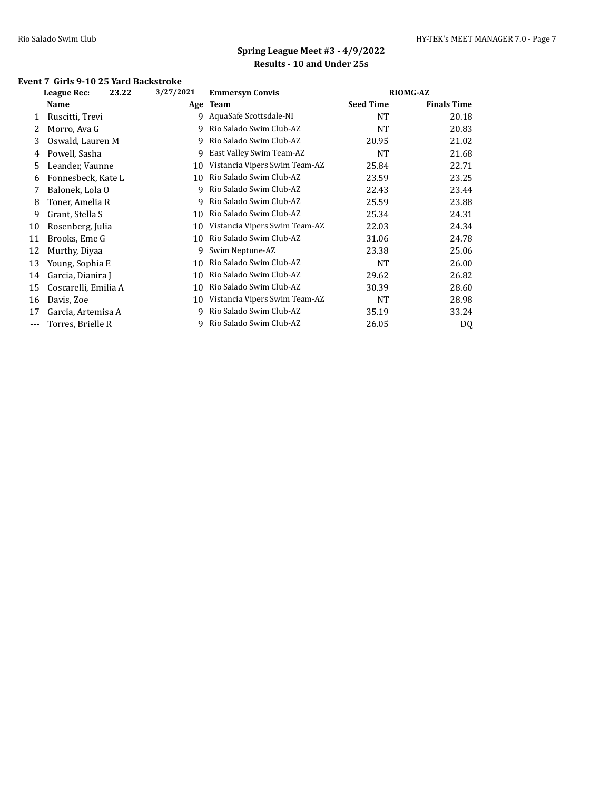#### **Event 7 Girls 9-10 25 Yard Backstroke**

|    | 23.22<br>League Rec: | 3/27/2021  | <b>Emmersyn Convis</b>        | <b>RIOMG-AZ</b>  |                    |  |
|----|----------------------|------------|-------------------------------|------------------|--------------------|--|
|    | Name                 | <u>Age</u> | <b>Team</b>                   | <b>Seed Time</b> | <b>Finals Time</b> |  |
| 1  | Ruscitti, Trevi      |            | 9 AquaSafe Scottsdale-NI      | <b>NT</b>        | 20.18              |  |
| 2  | Morro, Ava G         | 9.         | Rio Salado Swim Club-AZ       | NT               | 20.83              |  |
| 3  | Oswald, Lauren M     | 9.         | Rio Salado Swim Club-AZ       | 20.95            | 21.02              |  |
| 4  | Powell, Sasha        | 9.         | East Valley Swim Team-AZ      | NT               | 21.68              |  |
| 5  | Leander, Vaunne      | 10         | Vistancia Vipers Swim Team-AZ | 25.84            | 22.71              |  |
| 6  | Fonnesbeck, Kate L   | 10         | Rio Salado Swim Club-AZ       | 23.59            | 23.25              |  |
|    | Balonek, Lola O      | 9.         | Rio Salado Swim Club-AZ       | 22.43            | 23.44              |  |
| 8  | Toner, Amelia R      | 9.         | Rio Salado Swim Club-AZ       | 25.59            | 23.88              |  |
| 9  | Grant, Stella S      | 10         | Rio Salado Swim Club-AZ       | 25.34            | 24.31              |  |
| 10 | Rosenberg, Julia     | 10         | Vistancia Vipers Swim Team-AZ | 22.03            | 24.34              |  |
| 11 | Brooks, Eme G        | 10         | Rio Salado Swim Club-AZ       | 31.06            | 24.78              |  |
| 12 | Murthy, Diyaa        | 9          | Swim Neptune-AZ               | 23.38            | 25.06              |  |
| 13 | Young, Sophia E      | 10         | Rio Salado Swim Club-AZ       | <b>NT</b>        | 26.00              |  |
| 14 | Garcia, Dianira J    | 10         | Rio Salado Swim Club-AZ       | 29.62            | 26.82              |  |
| 15 | Coscarelli, Emilia A | 10         | Rio Salado Swim Club-AZ       | 30.39            | 28.60              |  |
| 16 | Davis, Zoe           | 10         | Vistancia Vipers Swim Team-AZ | <b>NT</b>        | 28.98              |  |
| 17 | Garcia, Artemisa A   | 9          | Rio Salado Swim Club-AZ       | 35.19            | 33.24              |  |
|    | Torres, Brielle R    |            | Rio Salado Swim Club-AZ       | 26.05            | DQ                 |  |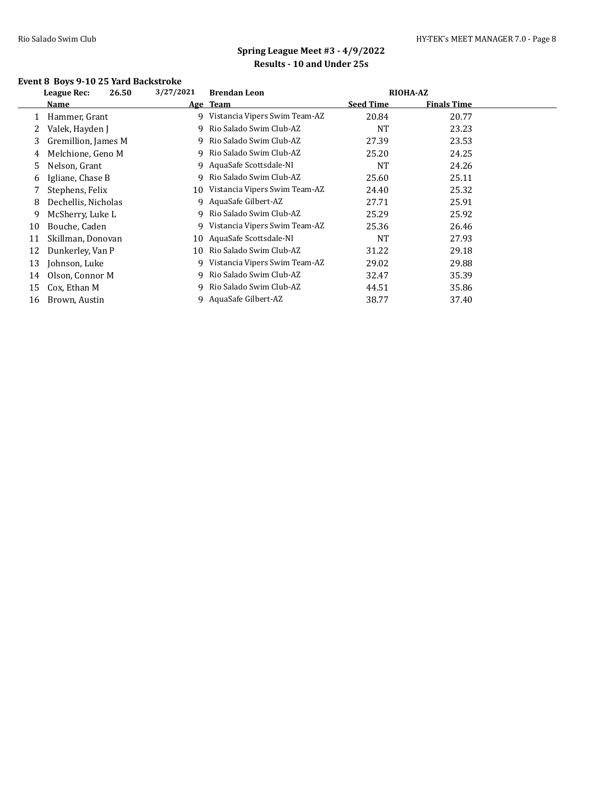### **Event 8 Boys 9-10 25 Yard Backstroke**

|    | League Rec:<br>26.50 | 3/27/2021 | <b>Brendan Leon</b>              | <b>RIOHA-AZ</b>  |                    |  |
|----|----------------------|-----------|----------------------------------|------------------|--------------------|--|
|    | Name                 |           | Age Team                         | <b>Seed Time</b> | <b>Finals Time</b> |  |
|    | Hammer, Grant        |           | 9 Vistancia Vipers Swim Team-AZ  | 20.84            | 20.77              |  |
| 2  | Valek, Hayden J      |           | 9 Rio Salado Swim Club-AZ        | <b>NT</b>        | 23.23              |  |
| 3  | Gremillion, James M  |           | 9 Rio Salado Swim Club-AZ        | 27.39            | 23.53              |  |
| 4  | Melchione, Geno M    | 9.        | Rio Salado Swim Club-AZ          | 25.20            | 24.25              |  |
| 5  | Nelson, Grant        |           | 9 AquaSafe Scottsdale-NI         | <b>NT</b>        | 24.26              |  |
| 6  | Igliane, Chase B     | 9.        | Rio Salado Swim Club-AZ          | 25.60            | 25.11              |  |
| 7  | Stephens, Felix      |           | 10 Vistancia Vipers Swim Team-AZ | 24.40            | 25.32              |  |
| 8  | Dechellis, Nicholas  |           | 9 AquaSafe Gilbert-AZ            | 27.71            | 25.91              |  |
| 9  | McSherry, Luke L     |           | 9 Rio Salado Swim Club-AZ        | 25.29            | 25.92              |  |
| 10 | Bouche, Caden        | 9.        | Vistancia Vipers Swim Team-AZ    | 25.36            | 26.46              |  |
| 11 | Skillman, Donovan    |           | 10 AquaSafe Scottsdale-NI        | <b>NT</b>        | 27.93              |  |
| 12 | Dunkerley, Van P     | 10        | Rio Salado Swim Club-AZ          | 31.22            | 29.18              |  |
| 13 | Johnson, Luke        |           | Vistancia Vipers Swim Team-AZ    | 29.02            | 29.88              |  |
| 14 | Olson, Connor M      |           | 9 Rio Salado Swim Club-AZ        | 32.47            | 35.39              |  |
| 15 | Cox, Ethan M         | 9.        | Rio Salado Swim Club-AZ          | 44.51            | 35.86              |  |
| 16 | Brown, Austin        |           | 9 AquaSafe Gilbert-AZ            | 38.77            | 37.40              |  |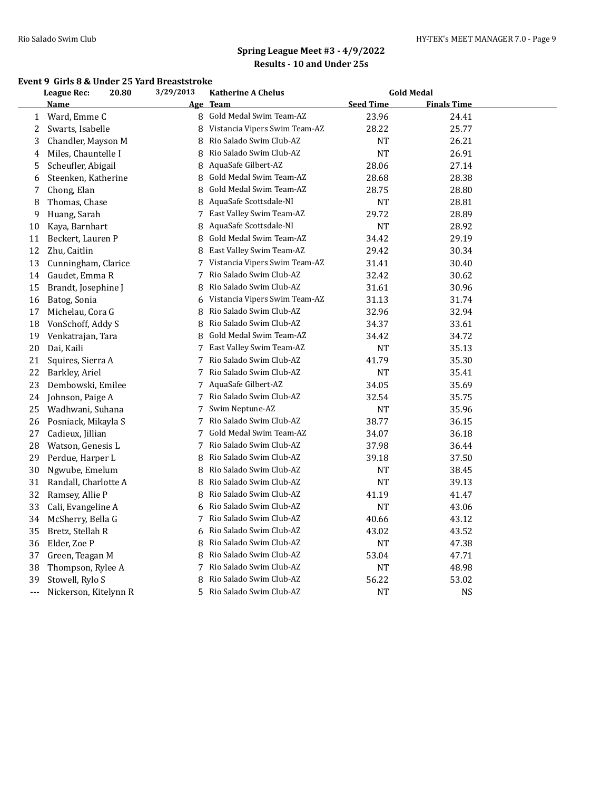#### **Event 9 Girls 8 & Under 25 Yard Breaststroke**

|                  | <b>League Rec:</b><br>20.80 |  | 3/29/2013  | <b>Katherine A Chelus</b>     |                  | <b>Gold Medal</b>  |  |
|------------------|-----------------------------|--|------------|-------------------------------|------------------|--------------------|--|
|                  | <b>Name</b>                 |  | <u>Age</u> | <b>Team</b>                   | <b>Seed Time</b> | <b>Finals Time</b> |  |
| $\mathbf{1}$     | Ward, Emme C                |  | 8          | Gold Medal Swim Team-AZ       | 23.96            | 24.41              |  |
| $\boldsymbol{2}$ | Swarts, Isabelle            |  | 8          | Vistancia Vipers Swim Team-AZ | 28.22            | 25.77              |  |
| 3                | Chandler, Mayson M          |  | 8          | Rio Salado Swim Club-AZ       | NT               | 26.21              |  |
| 4                | Miles, Chauntelle I         |  | 8          | Rio Salado Swim Club-AZ       | NT               | 26.91              |  |
| 5                | Scheufler, Abigail          |  | 8          | AquaSafe Gilbert-AZ           | 28.06            | 27.14              |  |
| 6                | Steenken, Katherine         |  | 8          | Gold Medal Swim Team-AZ       | 28.68            | 28.38              |  |
| 7                | Chong, Elan                 |  | 8          | Gold Medal Swim Team-AZ       | 28.75            | 28.80              |  |
| 8                | Thomas, Chase               |  | 8          | AquaSafe Scottsdale-NI        | <b>NT</b>        | 28.81              |  |
| 9                | Huang, Sarah                |  | 7          | East Valley Swim Team-AZ      | 29.72            | 28.89              |  |
| 10               | Kaya, Barnhart              |  | 8          | AquaSafe Scottsdale-NI        | NT               | 28.92              |  |
| 11               | Beckert, Lauren P           |  | 8          | Gold Medal Swim Team-AZ       | 34.42            | 29.19              |  |
| 12               | Zhu, Caitlin                |  | 8          | East Valley Swim Team-AZ      | 29.42            | 30.34              |  |
| 13               | Cunningham, Clarice         |  | 7          | Vistancia Vipers Swim Team-AZ | 31.41            | 30.40              |  |
| 14               | Gaudet, Emma R              |  | 7          | Rio Salado Swim Club-AZ       | 32.42            | 30.62              |  |
| 15               | Brandt, Josephine J         |  | 8          | Rio Salado Swim Club-AZ       | 31.61            | 30.96              |  |
| 16               | Batog, Sonia                |  | 6          | Vistancia Vipers Swim Team-AZ | 31.13            | 31.74              |  |
| 17               | Michelau, Cora G            |  | 8          | Rio Salado Swim Club-AZ       | 32.96            | 32.94              |  |
| 18               | VonSchoff, Addy S           |  | 8          | Rio Salado Swim Club-AZ       | 34.37            | 33.61              |  |
| 19               | Venkatrajan, Tara           |  | 8          | Gold Medal Swim Team-AZ       | 34.42            | 34.72              |  |
| 20               | Dai, Kaili                  |  | 7          | East Valley Swim Team-AZ      | NT               | 35.13              |  |
| 21               | Squires, Sierra A           |  | 7          | Rio Salado Swim Club-AZ       | 41.79            | 35.30              |  |
| 22               | Barkley, Ariel              |  | 7          | Rio Salado Swim Club-AZ       | NT               | 35.41              |  |
| 23               | Dembowski, Emilee           |  | 7          | AquaSafe Gilbert-AZ           | 34.05            | 35.69              |  |
| 24               | Johnson, Paige A            |  | 7          | Rio Salado Swim Club-AZ       | 32.54            | 35.75              |  |
| 25               | Wadhwani, Suhana            |  | 7          | Swim Neptune-AZ               | NT               | 35.96              |  |
| 26               | Posniack, Mikayla S         |  | 7          | Rio Salado Swim Club-AZ       | 38.77            | 36.15              |  |
| 27               | Cadieux, Jillian            |  | 7          | Gold Medal Swim Team-AZ       | 34.07            | 36.18              |  |
| 28               | Watson, Genesis L           |  | 7          | Rio Salado Swim Club-AZ       | 37.98            | 36.44              |  |
| 29               | Perdue, Harper L            |  | 8          | Rio Salado Swim Club-AZ       | 39.18            | 37.50              |  |
| 30               | Ngwube, Emelum              |  | 8          | Rio Salado Swim Club-AZ       | NT               | 38.45              |  |
| 31               | Randall, Charlotte A        |  | 8          | Rio Salado Swim Club-AZ       | $\rm{NT}$        | 39.13              |  |
| 32               | Ramsey, Allie P             |  | 8          | Rio Salado Swim Club-AZ       | 41.19            | 41.47              |  |
| 33               | Cali, Evangeline A          |  | 6          | Rio Salado Swim Club-AZ       | NT               | 43.06              |  |
| 34               | McSherry, Bella G           |  | 7          | Rio Salado Swim Club-AZ       | 40.66            | 43.12              |  |
| 35               | Bretz, Stellah R            |  | 6          | Rio Salado Swim Club-AZ       | 43.02            | 43.52              |  |
| 36               | Elder, Zoe P                |  | 8          | Rio Salado Swim Club-AZ       | $\rm{NT}$        | 47.38              |  |
| 37               | Green, Teagan M             |  | 8          | Rio Salado Swim Club-AZ       | 53.04            | 47.71              |  |
| 38               | Thompson, Rylee A           |  | 7          | Rio Salado Swim Club-AZ       | NT               | 48.98              |  |
| 39               | Stowell, Rylo S             |  | 8          | Rio Salado Swim Club-AZ       | 56.22            | 53.02              |  |
| $---$            | Nickerson, Kitelynn R       |  | 5          | Rio Salado Swim Club-AZ       | NT               | <b>NS</b>          |  |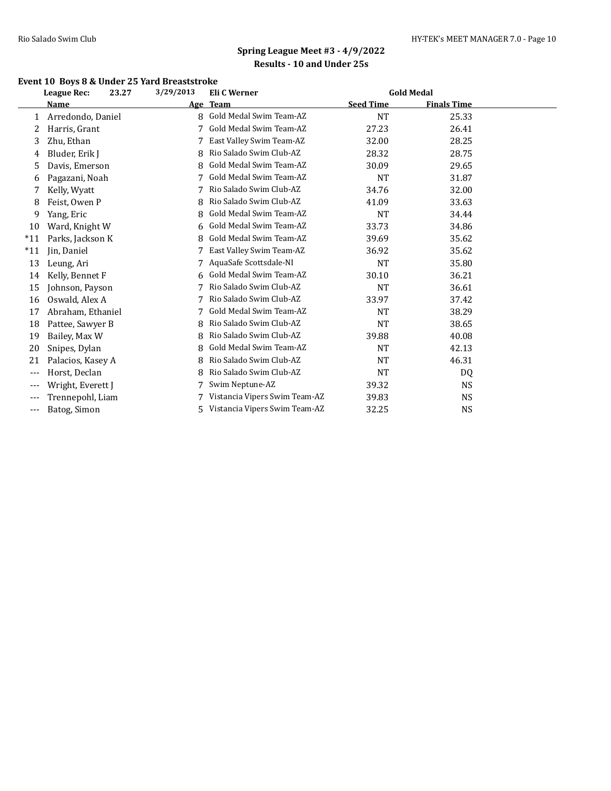### **Event 10 Boys 8 & Under 25 Yard Breaststroke**

|       | 23.27<br><b>League Rec:</b> | 3/29/2013 | Eli C Werner                  |                  | <b>Gold Medal</b>  |  |
|-------|-----------------------------|-----------|-------------------------------|------------------|--------------------|--|
|       | Name                        |           | Age Team                      | <b>Seed Time</b> | <b>Finals Time</b> |  |
| 1     | Arredondo, Daniel           | 8         | Gold Medal Swim Team-AZ       | <b>NT</b>        | 25.33              |  |
| 2     | Harris, Grant               | 7         | Gold Medal Swim Team-AZ       | 27.23            | 26.41              |  |
| 3     | Zhu, Ethan                  |           | East Valley Swim Team-AZ      | 32.00            | 28.25              |  |
| 4     | Bluder, Erik J              | 8         | Rio Salado Swim Club-AZ       | 28.32            | 28.75              |  |
| 5     | Davis, Emerson              | 8         | Gold Medal Swim Team-AZ       | 30.09            | 29.65              |  |
| 6     | Pagazani, Noah              |           | Gold Medal Swim Team-AZ       | <b>NT</b>        | 31.87              |  |
|       | Kelly, Wyatt                |           | Rio Salado Swim Club-AZ       | 34.76            | 32.00              |  |
| 8     | Feist, Owen P               | 8         | Rio Salado Swim Club-AZ       | 41.09            | 33.63              |  |
| 9     | Yang, Eric                  | 8         | Gold Medal Swim Team-AZ       | <b>NT</b>        | 34.44              |  |
| 10    | Ward, Knight W              | 6         | Gold Medal Swim Team-AZ       | 33.73            | 34.86              |  |
| $*11$ | Parks, Jackson K            | 8         | Gold Medal Swim Team-AZ       | 39.69            | 35.62              |  |
| $*11$ | Jin, Daniel                 |           | East Valley Swim Team-AZ      | 36.92            | 35.62              |  |
| 13    | Leung, Ari                  |           | AquaSafe Scottsdale-NI        | <b>NT</b>        | 35.80              |  |
| 14    | Kelly, Bennet F             | 6         | Gold Medal Swim Team-AZ       | 30.10            | 36.21              |  |
| 15    | Johnson, Payson             | 7         | Rio Salado Swim Club-AZ       | <b>NT</b>        | 36.61              |  |
| 16    | Oswald, Alex A              |           | Rio Salado Swim Club-AZ       | 33.97            | 37.42              |  |
| 17    | Abraham, Ethaniel           |           | Gold Medal Swim Team-AZ       | <b>NT</b>        | 38.29              |  |
| 18    | Pattee, Sawyer B            | 8         | Rio Salado Swim Club-AZ       | <b>NT</b>        | 38.65              |  |
| 19    | Bailey, Max W               | 8         | Rio Salado Swim Club-AZ       | 39.88            | 40.08              |  |
| 20    | Snipes, Dylan               | 8         | Gold Medal Swim Team-AZ       | <b>NT</b>        | 42.13              |  |
| 21    | Palacios, Kasey A           | 8         | Rio Salado Swim Club-AZ       | <b>NT</b>        | 46.31              |  |
| $---$ | Horst, Declan               |           | Rio Salado Swim Club-AZ       | <b>NT</b>        | DQ                 |  |
| $---$ | Wright, Everett J           |           | Swim Neptune-AZ               | 39.32            | <b>NS</b>          |  |
|       | Trennepohl, Liam            |           | Vistancia Vipers Swim Team-AZ | 39.83            | <b>NS</b>          |  |
| $---$ | Batog, Simon                | 5         | Vistancia Vipers Swim Team-AZ | 32.25            | NS                 |  |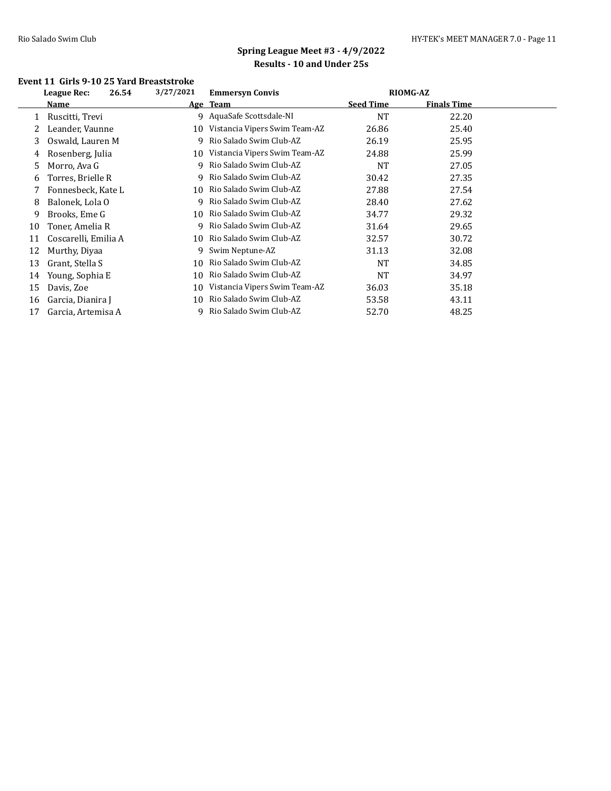#### **Event 11 Girls 9-10 25 Yard Breaststroke**

|    | League Rec:<br>26.54 | 3/27/2021 | <b>Emmersyn Convis</b>        | <b>RIOMG-AZ</b>  |                    |  |
|----|----------------------|-----------|-------------------------------|------------------|--------------------|--|
|    | Name                 |           | Age Team                      | <b>Seed Time</b> | <b>Finals Time</b> |  |
|    | Ruscitti, Trevi      |           | 9 AquaSafe Scottsdale-NI      | <b>NT</b>        | 22.20              |  |
| 2  | Leander, Vaunne      | 10        | Vistancia Vipers Swim Team-AZ | 26.86            | 25.40              |  |
| 3  | Oswald, Lauren M     | 9         | Rio Salado Swim Club-AZ       | 26.19            | 25.95              |  |
| 4  | Rosenberg, Julia     | 10        | Vistancia Vipers Swim Team-AZ | 24.88            | 25.99              |  |
| 5  | Morro, Ava G         | 9         | Rio Salado Swim Club-AZ       | <b>NT</b>        | 27.05              |  |
| 6  | Torres, Brielle R    | 9.        | Rio Salado Swim Club-AZ       | 30.42            | 27.35              |  |
|    | Fonnesbeck, Kate L   | 10        | Rio Salado Swim Club-AZ       | 27.88            | 27.54              |  |
| 8  | Balonek, Lola O      | 9         | Rio Salado Swim Club-AZ       | 28.40            | 27.62              |  |
| 9  | Brooks, Eme G        | 10        | Rio Salado Swim Club-AZ       | 34.77            | 29.32              |  |
| 10 | Toner, Amelia R      | 9.        | Rio Salado Swim Club-AZ       | 31.64            | 29.65              |  |
| 11 | Coscarelli, Emilia A | 10        | Rio Salado Swim Club-AZ       | 32.57            | 30.72              |  |
| 12 | Murthy, Diyaa        | 9         | Swim Neptune-AZ               | 31.13            | 32.08              |  |
| 13 | Grant, Stella S      | 10        | Rio Salado Swim Club-AZ       | <b>NT</b>        | 34.85              |  |
| 14 | Young, Sophia E      | 10        | Rio Salado Swim Club-AZ       | <b>NT</b>        | 34.97              |  |
| 15 | Davis, Zoe           | 10        | Vistancia Vipers Swim Team-AZ | 36.03            | 35.18              |  |
| 16 | Garcia, Dianira J    | 10        | Rio Salado Swim Club-AZ       | 53.58            | 43.11              |  |
| 17 | Garcia, Artemisa A   |           | Rio Salado Swim Club-AZ       | 52.70            | 48.25              |  |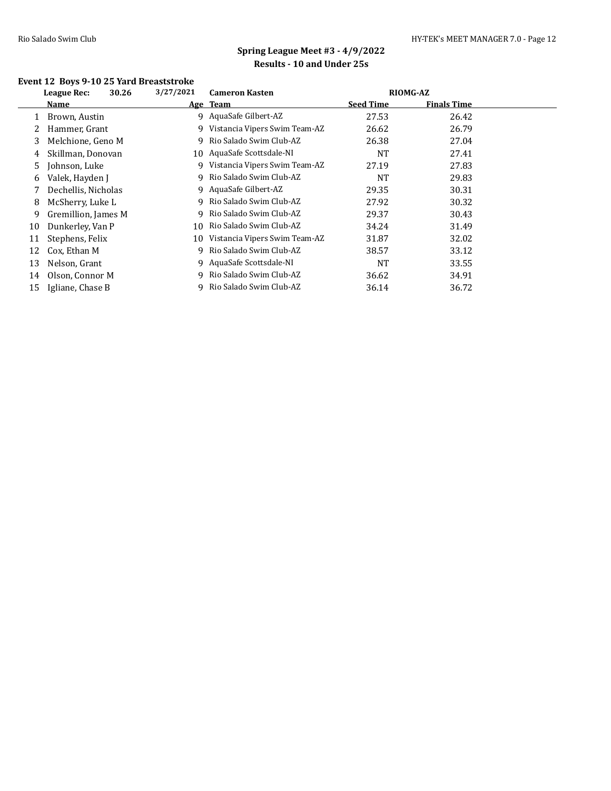### **Event 12 Boys 9-10 25 Yard Breaststroke**

|    | 30.26<br>League Rec: | 3/27/2021 | <b>Cameron Kasten</b>         |                  | <b>RIOMG-AZ</b>    |  |
|----|----------------------|-----------|-------------------------------|------------------|--------------------|--|
|    | Name                 |           | Age Team                      | <b>Seed Time</b> | <b>Finals Time</b> |  |
|    | Brown, Austin        |           | 9 AquaSafe Gilbert-AZ         | 27.53            | 26.42              |  |
|    | Hammer, Grant        | 9.        | Vistancia Vipers Swim Team-AZ | 26.62            | 26.79              |  |
| 3  | Melchione, Geno M    | 9         | Rio Salado Swim Club-AZ       | 26.38            | 27.04              |  |
| 4  | Skillman, Donovan    |           | 10 AquaSafe Scottsdale-NI     | <b>NT</b>        | 27.41              |  |
| 5  | Johnson, Luke        | 9         | Vistancia Vipers Swim Team-AZ | 27.19            | 27.83              |  |
| 6  | Valek, Hayden J      |           | Rio Salado Swim Club-AZ       | <b>NT</b>        | 29.83              |  |
|    | Dechellis, Nicholas  |           | 9 AquaSafe Gilbert-AZ         | 29.35            | 30.31              |  |
| 8  | McSherry, Luke L     | 9.        | Rio Salado Swim Club-AZ       | 27.92            | 30.32              |  |
| 9  | Gremillion, James M  | 9         | Rio Salado Swim Club-AZ       | 29.37            | 30.43              |  |
| 10 | Dunkerley, Van P     | 10        | Rio Salado Swim Club-AZ       | 34.24            | 31.49              |  |
| 11 | Stephens, Felix      | 10        | Vistancia Vipers Swim Team-AZ | 31.87            | 32.02              |  |
| 12 | Cox, Ethan M         | 9         | Rio Salado Swim Club-AZ       | 38.57            | 33.12              |  |
| 13 | Nelson, Grant        | 9.        | AquaSafe Scottsdale-NI        | <b>NT</b>        | 33.55              |  |
| 14 | Olson, Connor M      | 9         | Rio Salado Swim Club-AZ       | 36.62            | 34.91              |  |
| 15 | Igliane, Chase B     |           | Rio Salado Swim Club-AZ       | 36.14            | 36.72              |  |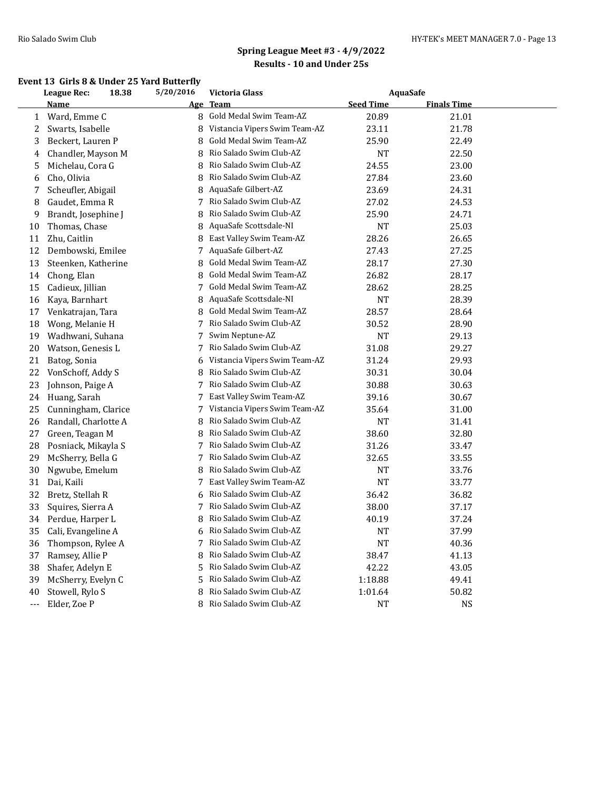### **Event 13 Girls 8 & Under 25 Yard Butterfly**

|              | <b>League Rec:</b>   | 18.38 | 5/20/2016 | <b>Victoria Glass</b>         |                  | <b>AquaSafe</b>    |  |
|--------------|----------------------|-------|-----------|-------------------------------|------------------|--------------------|--|
|              | <b>Name</b>          |       |           | Age Team                      | <b>Seed Time</b> | <b>Finals Time</b> |  |
| $\mathbf{1}$ | Ward, Emme C         |       |           | 8 Gold Medal Swim Team-AZ     | 20.89            | 21.01              |  |
| 2            | Swarts, Isabelle     |       | 8         | Vistancia Vipers Swim Team-AZ | 23.11            | 21.78              |  |
| 3            | Beckert, Lauren P    |       | 8         | Gold Medal Swim Team-AZ       | 25.90            | 22.49              |  |
| 4            | Chandler, Mayson M   |       | 8         | Rio Salado Swim Club-AZ       | NT               | 22.50              |  |
| 5            | Michelau, Cora G     |       | 8         | Rio Salado Swim Club-AZ       | 24.55            | 23.00              |  |
| 6            | Cho, Olivia          |       | 8         | Rio Salado Swim Club-AZ       | 27.84            | 23.60              |  |
| 7            | Scheufler, Abigail   |       | 8         | AquaSafe Gilbert-AZ           | 23.69            | 24.31              |  |
| 8            | Gaudet, Emma R       |       |           | 7 Rio Salado Swim Club-AZ     | 27.02            | 24.53              |  |
| 9            | Brandt, Josephine J  |       | 8         | Rio Salado Swim Club-AZ       | 25.90            | 24.71              |  |
| 10           | Thomas, Chase        |       | 8         | AquaSafe Scottsdale-NI        | NT               | 25.03              |  |
| 11           | Zhu, Caitlin         |       | 8         | East Valley Swim Team-AZ      | 28.26            | 26.65              |  |
| 12           | Dembowski, Emilee    |       |           | 7 AquaSafe Gilbert-AZ         | 27.43            | 27.25              |  |
| 13           | Steenken, Katherine  |       | 8         | Gold Medal Swim Team-AZ       | 28.17            | 27.30              |  |
| 14           | Chong, Elan          |       | 8         | Gold Medal Swim Team-AZ       | 26.82            | 28.17              |  |
| 15           | Cadieux, Jillian     |       | 7         | Gold Medal Swim Team-AZ       | 28.62            | 28.25              |  |
| 16           | Kaya, Barnhart       |       | 8         | AquaSafe Scottsdale-NI        | NT               | 28.39              |  |
| 17           | Venkatrajan, Tara    |       | 8         | Gold Medal Swim Team-AZ       | 28.57            | 28.64              |  |
| 18           | Wong, Melanie H      |       | 7         | Rio Salado Swim Club-AZ       | 30.52            | 28.90              |  |
| 19           | Wadhwani, Suhana     |       | 7         | Swim Neptune-AZ               | NT               | 29.13              |  |
| 20           | Watson, Genesis L    |       | 7         | Rio Salado Swim Club-AZ       | 31.08            | 29.27              |  |
| 21           | Batog, Sonia         |       | 6         | Vistancia Vipers Swim Team-AZ | 31.24            | 29.93              |  |
| 22           | VonSchoff, Addy S    |       | 8         | Rio Salado Swim Club-AZ       | 30.31            | 30.04              |  |
| 23           | Johnson, Paige A     |       | 7         | Rio Salado Swim Club-AZ       | 30.88            | 30.63              |  |
| 24           | Huang, Sarah         |       | 7         | East Valley Swim Team-AZ      | 39.16            | 30.67              |  |
| 25           | Cunningham, Clarice  |       | 7         | Vistancia Vipers Swim Team-AZ | 35.64            | 31.00              |  |
| 26           | Randall, Charlotte A |       | 8         | Rio Salado Swim Club-AZ       | NT               | 31.41              |  |
| 27           | Green, Teagan M      |       | 8         | Rio Salado Swim Club-AZ       | 38.60            | 32.80              |  |
| 28           | Posniack, Mikayla S  |       | 7         | Rio Salado Swim Club-AZ       | 31.26            | 33.47              |  |
| 29           | McSherry, Bella G    |       | 7         | Rio Salado Swim Club-AZ       | 32.65            | 33.55              |  |
| 30           | Ngwube, Emelum       |       | 8         | Rio Salado Swim Club-AZ       | NT               | 33.76              |  |
| 31           | Dai, Kaili           |       | 7         | East Valley Swim Team-AZ      | <b>NT</b>        | 33.77              |  |
| 32           | Bretz, Stellah R     |       | 6         | Rio Salado Swim Club-AZ       | 36.42            | 36.82              |  |
| 33           | Squires, Sierra A    |       | 7         | Rio Salado Swim Club-AZ       | 38.00            | 37.17              |  |
| 34           | Perdue, Harper L     |       | 8         | Rio Salado Swim Club-AZ       | 40.19            | 37.24              |  |
| 35           | Cali, Evangeline A   |       | 6         | Rio Salado Swim Club-AZ       | NT               | 37.99              |  |
| 36           | Thompson, Rylee A    |       | 7         | Rio Salado Swim Club-AZ       | NT               | 40.36              |  |
| 37           | Ramsey, Allie P      |       | 8         | Rio Salado Swim Club-AZ       | 38.47            | 41.13              |  |
| 38           | Shafer, Adelyn E     |       | 5         | Rio Salado Swim Club-AZ       | 42.22            | 43.05              |  |
| 39           | McSherry, Evelyn C   |       | 5         | Rio Salado Swim Club-AZ       | 1:18.88          | 49.41              |  |
| 40           | Stowell, Rylo S      |       | 8         | Rio Salado Swim Club-AZ       | 1:01.64          | 50.82              |  |
| $---$        | Elder, Zoe P         |       | 8         | Rio Salado Swim Club-AZ       | <b>NT</b>        | <b>NS</b>          |  |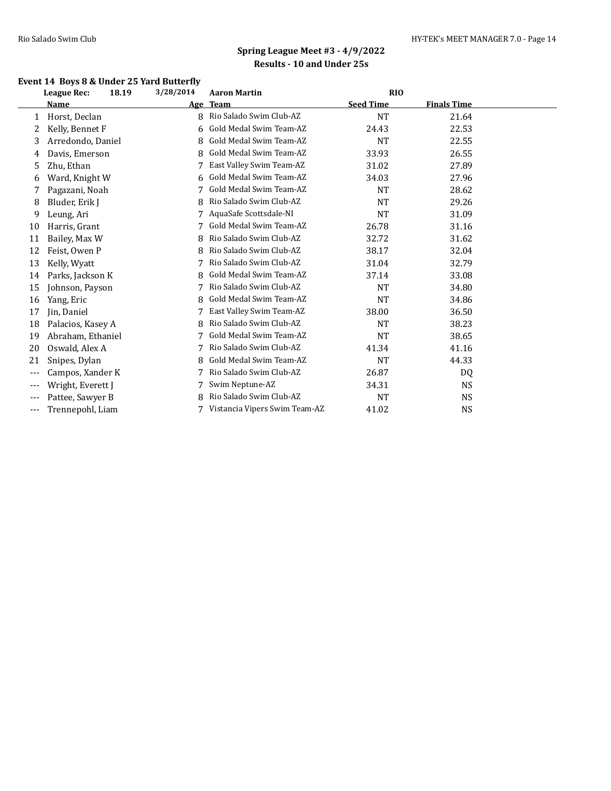### **Event 14 Boys 8 & Under 25 Yard Butterfly**

|       | <b>League Rec:</b><br>18.19 | 3/28/2014 | <b>Aaron Martin</b>           | <b>RIO</b>       |                    |  |
|-------|-----------------------------|-----------|-------------------------------|------------------|--------------------|--|
|       | Name                        |           | Age Team                      | <b>Seed Time</b> | <b>Finals Time</b> |  |
| 1     | Horst, Declan               | 8         | Rio Salado Swim Club-AZ       | <b>NT</b>        | 21.64              |  |
| 2     | Kelly, Bennet F             | 6         | Gold Medal Swim Team-AZ       | 24.43            | 22.53              |  |
| 3     | Arredondo, Daniel           | 8         | Gold Medal Swim Team-AZ       | <b>NT</b>        | 22.55              |  |
| 4     | Davis, Emerson              | 8         | Gold Medal Swim Team-AZ       | 33.93            | 26.55              |  |
| 5     | Zhu, Ethan                  |           | East Valley Swim Team-AZ      | 31.02            | 27.89              |  |
| 6     | Ward, Knight W              | 6         | Gold Medal Swim Team-AZ       | 34.03            | 27.96              |  |
| 7     | Pagazani, Noah              |           | Gold Medal Swim Team-AZ       | <b>NT</b>        | 28.62              |  |
| 8     | Bluder, Erik J              | 8         | Rio Salado Swim Club-AZ       | <b>NT</b>        | 29.26              |  |
| 9     | Leung, Ari                  |           | AquaSafe Scottsdale-NI        | <b>NT</b>        | 31.09              |  |
| 10    | Harris, Grant               | 7         | Gold Medal Swim Team-AZ       | 26.78            | 31.16              |  |
| 11    | Bailey, Max W               | 8         | Rio Salado Swim Club-AZ       | 32.72            | 31.62              |  |
| 12    | Feist, Owen P               | 8         | Rio Salado Swim Club-AZ       | 38.17            | 32.04              |  |
| 13    | Kelly, Wyatt                | 7         | Rio Salado Swim Club-AZ       | 31.04            | 32.79              |  |
| 14    | Parks, Jackson K            | 8         | Gold Medal Swim Team-AZ       | 37.14            | 33.08              |  |
| 15    | Johnson, Payson             | 7         | Rio Salado Swim Club-AZ       | <b>NT</b>        | 34.80              |  |
| 16    | Yang, Eric                  | 8         | Gold Medal Swim Team-AZ       | <b>NT</b>        | 34.86              |  |
| 17    | Jin, Daniel                 |           | East Valley Swim Team-AZ      | 38.00            | 36.50              |  |
| 18    | Palacios, Kasey A           | 8         | Rio Salado Swim Club-AZ       | <b>NT</b>        | 38.23              |  |
| 19    | Abraham, Ethaniel           |           | Gold Medal Swim Team-AZ       | <b>NT</b>        | 38.65              |  |
| 20    | Oswald, Alex A              | 7         | Rio Salado Swim Club-AZ       | 41.34            | 41.16              |  |
| 21    | Snipes, Dylan               | 8         | Gold Medal Swim Team-AZ       | <b>NT</b>        | 44.33              |  |
| ---   | Campos, Xander K            |           | Rio Salado Swim Club-AZ       | 26.87            | DQ                 |  |
| $---$ | Wright, Everett J           | 7         | Swim Neptune-AZ               | 34.31            | NS                 |  |
| $---$ | Pattee, Sawyer B            | 8         | Rio Salado Swim Club-AZ       | NT               | NS                 |  |
| ---   | Trennepohl, Liam            |           | Vistancia Vipers Swim Team-AZ | 41.02            | NS                 |  |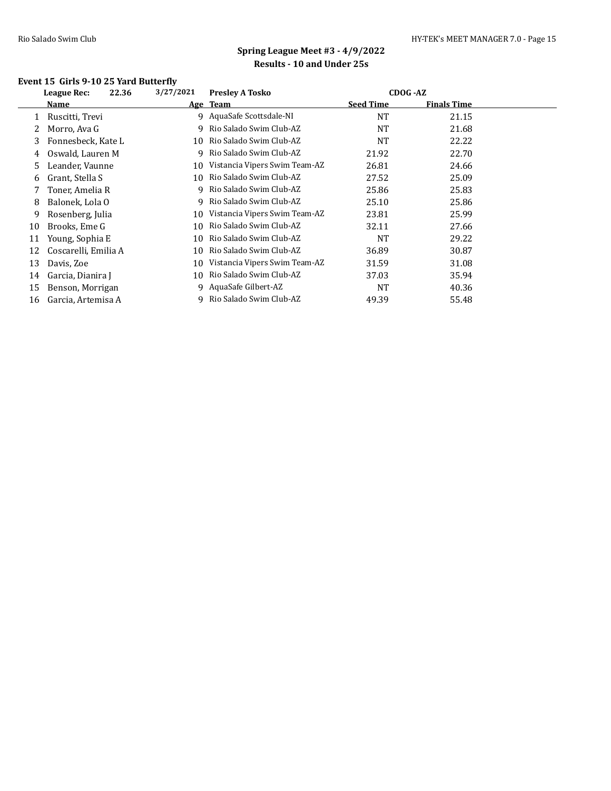### **Event 15 Girls 9-10 25 Yard Butterfly**

|    | 22.36<br>League Rec: | 3/27/2021 | <b>Presley A Tosko</b>        | CDOG - AZ        |                    |  |
|----|----------------------|-----------|-------------------------------|------------------|--------------------|--|
|    | <b>Name</b>          |           | Age Team                      | <b>Seed Time</b> | <b>Finals Time</b> |  |
|    | Ruscitti, Trevi      |           | 9 AquaSafe Scottsdale-NI      | <b>NT</b>        | 21.15              |  |
| 2  | Morro, Ava G         | 9.        | Rio Salado Swim Club-AZ       | NT.              | 21.68              |  |
| 3  | Fonnesbeck, Kate L   | 10        | Rio Salado Swim Club-AZ       | <b>NT</b>        | 22.22              |  |
| 4  | Oswald, Lauren M     | 9.        | Rio Salado Swim Club-AZ       | 21.92            | 22.70              |  |
| 5  | Leander, Vaunne      | 10        | Vistancia Vipers Swim Team-AZ | 26.81            | 24.66              |  |
| 6  | Grant, Stella S      | 10        | Rio Salado Swim Club-AZ       | 27.52            | 25.09              |  |
|    | Toner, Amelia R      | 9         | Rio Salado Swim Club-AZ       | 25.86            | 25.83              |  |
| 8  | Balonek, Lola O      | 9.        | Rio Salado Swim Club-AZ       | 25.10            | 25.86              |  |
| 9  | Rosenberg, Julia     | 10        | Vistancia Vipers Swim Team-AZ | 23.81            | 25.99              |  |
| 10 | Brooks, Eme G        | 10        | Rio Salado Swim Club-AZ       | 32.11            | 27.66              |  |
| 11 | Young, Sophia E      | 10        | Rio Salado Swim Club-AZ       | <b>NT</b>        | 29.22              |  |
| 12 | Coscarelli, Emilia A | 10        | Rio Salado Swim Club-AZ       | 36.89            | 30.87              |  |
| 13 | Davis, Zoe           | 10        | Vistancia Vipers Swim Team-AZ | 31.59            | 31.08              |  |
| 14 | Garcia, Dianira J    | 10        | Rio Salado Swim Club-AZ       | 37.03            | 35.94              |  |
| 15 | Benson, Morrigan     |           | 9 AquaSafe Gilbert-AZ         | <b>NT</b>        | 40.36              |  |
| 16 | Garcia, Artemisa A   |           | 9 Rio Salado Swim Club-AZ     | 49.39            | 55.48              |  |